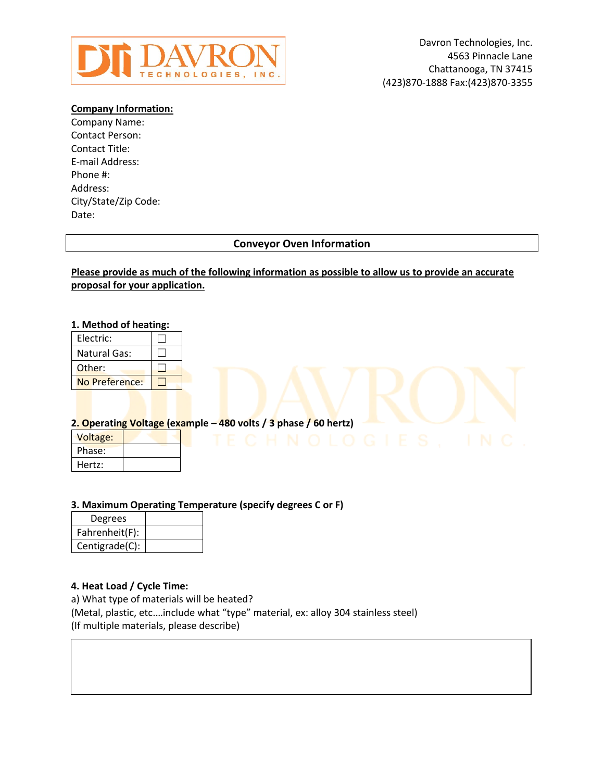

## **Company Information:**

Company Name: Contact Person: Contact Title: E-mail Address: Phone #: Address: City/State/Zip Code: Date:

# **Conveyor Oven Information**

## **Please provide as much of the following information as possible to allow us to provide an accurate proposal for your application.**

#### **1. Method of heating:**

| Electric:           |  |
|---------------------|--|
| <b>Natural Gas:</b> |  |
| Other:              |  |
| No Preference:      |  |

#### **2. Operating Voltage (example – 480 volts / 3 phase / 60 hertz)**

| Voltage: |  |
|----------|--|
| Phase:   |  |
| Hertz:   |  |

## **3. Maximum Operating Temperature (specify degrees C or F)**

| Degrees        |  |
|----------------|--|
| Fahrenheit(F): |  |
| Centigrade(C): |  |

## **4. Heat Load / Cycle Time:**

a) What type of materials will be heated? (Metal, plastic, etc.…include what "type" material, ex: alloy 304 stainless steel) (If multiple materials, please describe)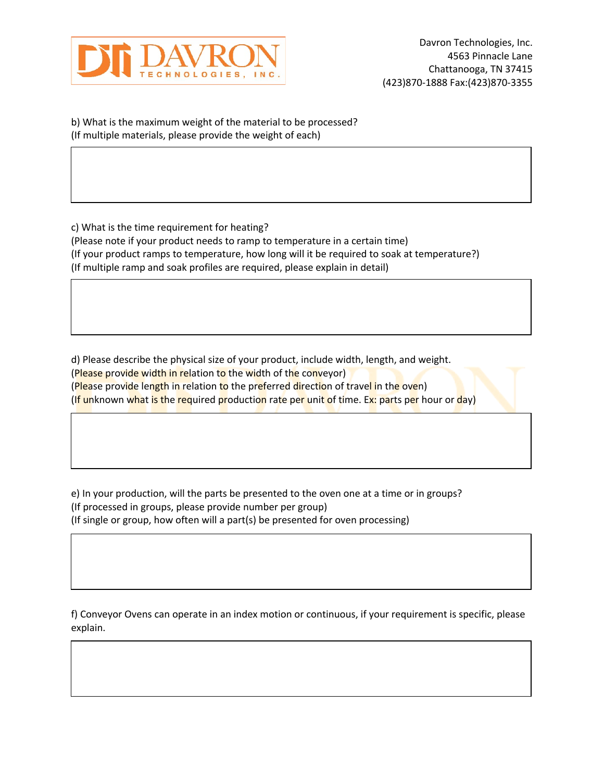

b) What is the maximum weight of the material to be processed? (If multiple materials, please provide the weight of each)

c) What is the time requirement for heating? (Please note if your product needs to ramp to temperature in a certain time) (If your product ramps to temperature, how long will it be required to soak at temperature?) (If multiple ramp and soak profiles are required, please explain in detail)

d) Please describe the physical size of your product, include width, length, and weight. (Please provide width in relation to the width of the conveyor) (Please provide length in relation to the preferred direction of travel in the oven) (If unknown what is the required production rate per unit of time. Ex: parts per hour or day)

e) In your production, will the parts be presented to the oven one at a time or in groups? (If processed in groups, please provide number per group) (If single or group, how often will a part(s) be presented for oven processing)

f) Conveyor Ovens can operate in an index motion or continuous, if your requirement is specific, please explain.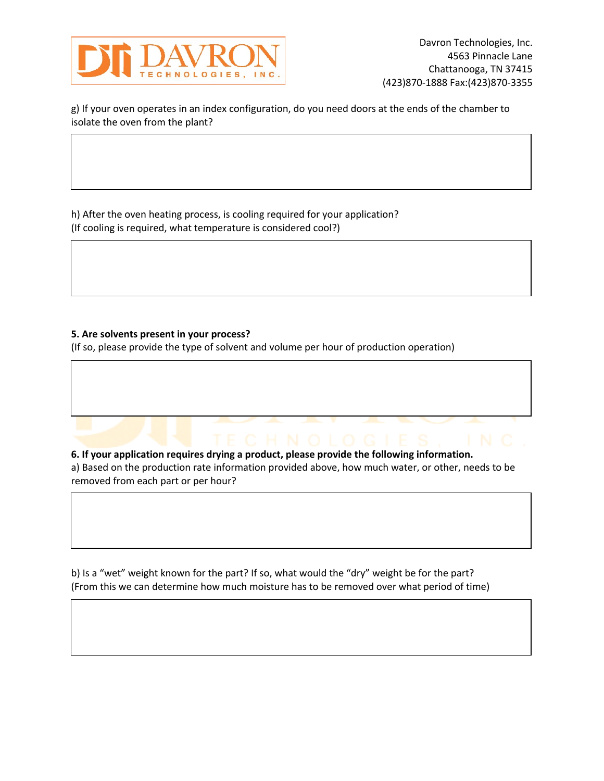

g) If your oven operates in an index configuration, do you need doors at the ends of the chamber to isolate the oven from the plant?

h) After the oven heating process, is cooling required for your application? (If cooling is required, what temperature is considered cool?)

## **5. Are solvents present in your process?**

(If so, please provide the type of solvent and volume per hour of production operation)

**6. If your application requires drying a product, please provide the following information.** a) Based on the production rate information provided above, how much water, or other, needs to be removed from each part or per hour?

b) Is a "wet" weight known for the part? If so, what would the "dry" weight be for the part? (From this we can determine how much moisture has to be removed over what period of time)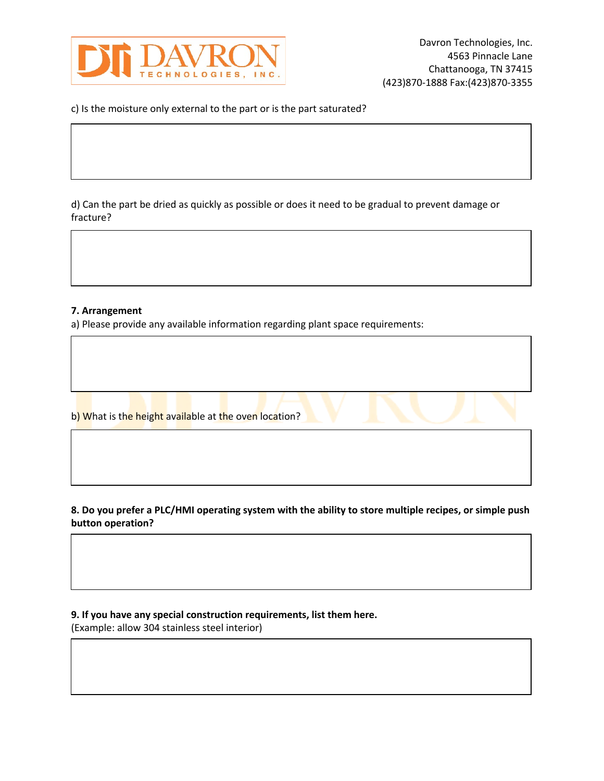

c) Is the moisture only external to the part or is the part saturated?

d) Can the part be dried as quickly as possible or does it need to be gradual to prevent damage or fracture?

#### **7. Arrangement**

a) Please provide any available information regarding plant space requirements:

b) What is the height available at the oven location?

**8. Do you prefer a PLC/HMI operating system with the ability to store multiple recipes, or simple push button operation?**

**9. If you have any special construction requirements, list them here.**

(Example: allow 304 stainless steel interior)